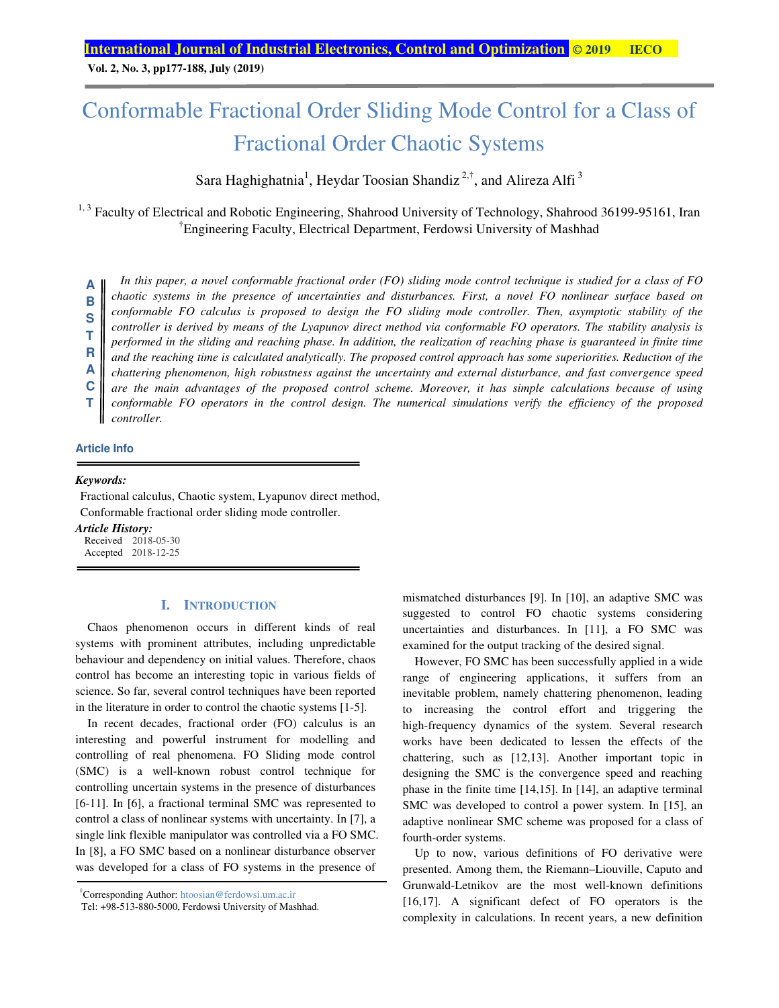**Vol. 2, No. 3, pp177-188, July (2019)** 

## Conformable Fractional Order Sliding Mode Control for a Class of Fractional Order Chaotic Systems

Sara Haghighatnia<sup>1</sup>, Heydar Toosian Shandiz<sup>2,†</sup>, and Alireza Alfi<sup>3</sup>

<sup>1, 3</sup> Faculty of Electrical and Robotic Engineering, Shahrood University of Technology, Shahrood 36199-95161, Iran † Engineering Faculty, Electrical Department, Ferdowsi University of Mashhad

*In this paper, a novel conformable fractional order (FO) sliding mode control technique is studied for a class of FO chaotic systems in the presence of uncertainties and disturbances. First, a novel FO nonlinear surface based on conformable FO calculus is proposed to design the FO sliding mode controller. Then, asymptotic stability of the controller is derived by means of the Lyapunov direct method via conformable FO operators. The stability analysis is performed in the sliding and reaching phase. In addition, the realization of reaching phase is guaranteed in finite time and the reaching time is calculated analytically. The proposed control approach has some superiorities. Reduction of the chattering phenomenon, high robustness against the uncertainty and external disturbance, and fast convergence speed are the main advantages of the proposed control scheme. Moreover, it has simple calculations because of using*  conformable FO operators in the control design. The numerical simulations verify the efficiency of the proposed *controller.*  **A B S T R A C T**

## **Article Info**

#### *Keywords:*

 Fractional calculus, Chaotic system, Lyapunov direct method, Conformable fractional order sliding mode controller.

*Article History:*  Received 2018-05-30 Accepted 2018-12-25

## **I. INTRODUCTION**

Chaos phenomenon occurs in different kinds of real systems with prominent attributes, including unpredictable behaviour and dependency on initial values. Therefore, chaos control has become an interesting topic in various fields of science. So far, several control techniques have been reported in the literature in order to control the chaotic systems [1-5].

In recent decades, fractional order (FO) calculus is an interesting and powerful instrument for modelling and controlling of real phenomena. FO Sliding mode control (SMC) is a well-known robust control technique for controlling uncertain systems in the presence of disturbances [6-11]. In [6], a fractional terminal SMC was represented to control a class of nonlinear systems with uncertainty. In [7], a single link flexible manipulator was controlled via a FO SMC. In [8], a FO SMC based on a nonlinear disturbance observer was developed for a class of FO systems in the presence of mismatched disturbances [9]. In [10], an adaptive SMC was suggested to control FO chaotic systems considering uncertainties and disturbances. In [11], a FO SMC was examined for the output tracking of the desired signal.

However, FO SMC has been successfully applied in a wide range of engineering applications, it suffers from an inevitable problem, namely chattering phenomenon, leading to increasing the control effort and triggering the high-frequency dynamics of the system. Several research works have been dedicated to lessen the effects of the chattering, such as [12,13]. Another important topic in designing the SMC is the convergence speed and reaching phase in the finite time [14,15]. In [14], an adaptive terminal SMC was developed to control a power system. In [15], an adaptive nonlinear SMC scheme was proposed for a class of fourth-order systems.

Up to now, various definitions of FO derivative were presented. Among them, the Riemann–Liouville, Caputo and Grunwald-Letnikov are the most well-known definitions [16,17]. A significant defect of FO operators is the complexity in calculations. In recent years, a new definition

<sup>†</sup> Corresponding Author: htoosian@ferdowsi.um.ac.ir

Tel: +98-513-880-5000, Ferdowsi University of Mashhad.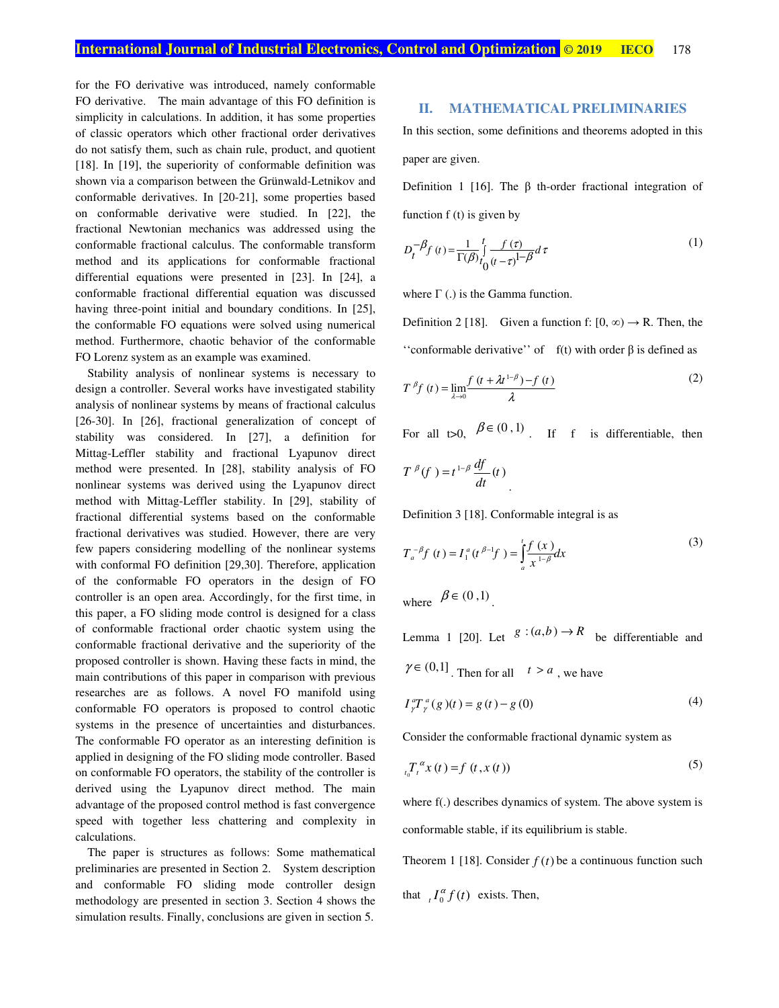for the FO derivative was introduced, namely conformable FO derivative. The main advantage of this FO definition is simplicity in calculations. In addition, it has some properties of classic operators which other fractional order derivatives do not satisfy them, such as chain rule, product, and quotient [18]. In [19], the superiority of conformable definition was shown via a comparison between the Grünwald-Letnikov and conformable derivatives. In [20-21], some properties based on conformable derivative were studied. In [22], the fractional Newtonian mechanics was addressed using the conformable fractional calculus. The conformable transform method and its applications for conformable fractional differential equations were presented in [23]. In [24], a conformable fractional differential equation was discussed having three-point initial and boundary conditions. In [25], the conformable FO equations were solved using numerical method. Furthermore, chaotic behavior of the conformable FO Lorenz system as an example was examined.

Stability analysis of nonlinear systems is necessary to design a controller. Several works have investigated stability analysis of nonlinear systems by means of fractional calculus [26-30]. In [26], fractional generalization of concept of stability was considered. In [27], a definition for Mittag-Leffler stability and fractional Lyapunov direct method were presented. In [28], stability analysis of FO nonlinear systems was derived using the Lyapunov direct method with Mittag-Leffler stability. In [29], stability of fractional differential systems based on the conformable fractional derivatives was studied. However, there are very few papers considering modelling of the nonlinear systems with conformal FO definition [29,30]. Therefore, application of the conformable FO operators in the design of FO controller is an open area. Accordingly, for the first time, in this paper, a FO sliding mode control is designed for a class of conformable fractional order chaotic system using the conformable fractional derivative and the superiority of the proposed controller is shown. Having these facts in mind, the main contributions of this paper in comparison with previous researches are as follows. A novel FO manifold using conformable FO operators is proposed to control chaotic systems in the presence of uncertainties and disturbances. The conformable FO operator as an interesting definition is applied in designing of the FO sliding mode controller. Based on conformable FO operators, the stability of the controller is derived using the Lyapunov direct method. The main advantage of the proposed control method is fast convergence speed with together less chattering and complexity in calculations.

The paper is structures as follows: Some mathematical preliminaries are presented in Section 2. System description and conformable FO sliding mode controller design methodology are presented in section 3. Section 4 shows the simulation results. Finally, conclusions are given in section 5.

## **II. MATHEMATICAL PRELIMINARIES**

In this section, some definitions and theorems adopted in this paper are given.

Definition 1 [16]. The β th-order fractional integration of function  $f(t)$  is given by

$$
D_t^{-\beta} f(t) = \frac{1}{\Gamma(\beta)} \int_0^t \frac{f(\tau)}{(t-\tau)^{1-\beta}} d\tau
$$
 (1)

where  $\Gamma$  (.) is the Gamma function.

Definition 2 [18]. Given a function f:  $[0, \infty) \rightarrow \mathbb{R}$ . Then, the "conformable derivative" of  $f(t)$  with order  $\beta$  is defined as

$$
T^{\beta}f(t) = \lim_{\lambda \to 0} \frac{f(t + \lambda t^{1-\beta}) - f(t)}{\lambda}
$$
 (2)

For all t>0,  $\beta \in (0, 1)$ . If f is differentiable, then

$$
T^{\beta}(f) = t^{1-\beta} \frac{df}{dt}(t)
$$

Definition 3 [18]. Conformable integral is as

$$
T_a^{-\beta} f(t) = I_1^a(t^{\beta-1} f) = \int_a^t \frac{f(x)}{x^{1-\beta}} dx
$$
  
where  $\beta \in (0,1)$ 

Lemma 1 [20]. Let  $g:(a,b)\to R$  be differentiable and  $\gamma \in (0,1]$ . Then for all  $t > a$ , we have

$$
I_{\gamma}^{a}T_{\gamma}^{a}(g)(t) = g(t) - g(0)
$$
\n(4)

Consider the conformable fractional dynamic system as

$$
t_0 T_t^{\alpha} x(t) = f(t, x(t))
$$
 (5)

where f(.) describes dynamics of system. The above system is conformable stable, if its equilibrium is stable.

Theorem 1 [18]. Consider  $f(t)$  be a continuous function such that  $I_0^{\alpha} f(t)$  exists. Then,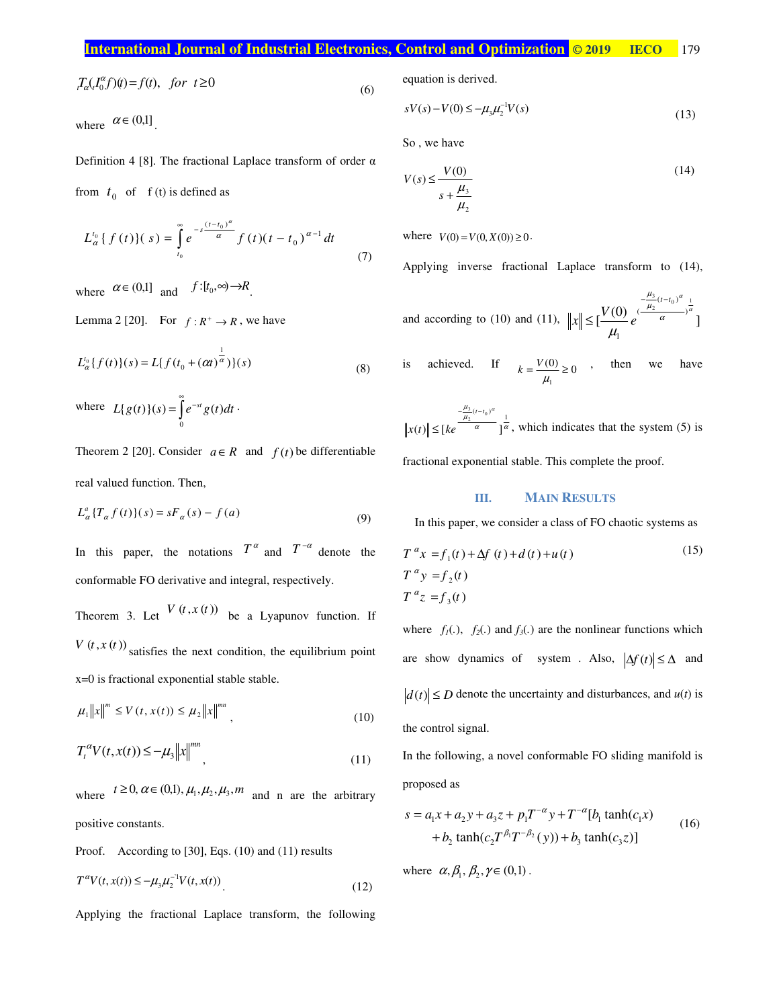|                                                                            | <b>International Journal of Industrial Electronics, Control and Optimization © 2019 EECO</b> | 179 |
|----------------------------------------------------------------------------|----------------------------------------------------------------------------------------------|-----|
|                                                                            |                                                                                              |     |
| $T/T^{\alpha}$ and $T \cap T$ and $T \cap T$ and $T \cap T$ and $T \cap T$ | equation is derived                                                                          |     |

$$
T_{\alpha}(I_0^{\alpha}f)(t) = f(t), \quad \text{for } t \ge 0
$$
\n<sup>(6)</sup>

where  $\alpha \in (0,1]$ .

Definition 4 [8]. The fractional Laplace transform of order  $\alpha$ from  $t_0$  of f (t) is defined as

$$
L_{\alpha}^{t_0} \{ f(t) \} (s) = \int_{t_0}^{\infty} e^{-s \frac{(t - t_0)^{\alpha}}{\alpha}} f(t) (t - t_0)^{\alpha - 1} dt
$$
 (7)

where  $\alpha \in (0,1]$  and  $f:[t_0,\infty) \rightarrow R$ .

Lemma 2 [20]. For  $f: R^+ \to R$ , we have

$$
L_{\alpha}^{t_0}\{f(t)\}(s) = L\{f(t_0 + (\alpha t)^{\frac{1}{\alpha}})\}(s)
$$
\n(8)

where  $L{g(t)}(s) = \int_0^\infty e^{-st} dt$  $\boldsymbol{0}$  $L{g(t)}(s) = \int e^{-st} g(t) dt$ .

Theorem 2 [20]. Consider  $a \in R$  and  $f(t)$  be differentiable real valued function. Then,

$$
L_{\alpha}^{a} \{T_{\alpha} f(t)\}(s) = sF_{\alpha}(s) - f(a)
$$
\n(9)

In this paper, the notations  $T^{\alpha}$  and  $T^{-\alpha}$  denote the conformable FO derivative and integral, respectively.

Theorem 3. Let  $V(t, x(t))$  be a Lyapunov function. If  $V(t, x(t))$  satisfies the next condition, the equilibrium point x=0 is fractional exponential stable stable.

$$
\mu_1 \|x\|^m \le V(t, x(t)) \le \mu_2 \|x\|^{mn}, \qquad (10)
$$

$$
T_t^{\alpha} V(t, x(t)) \le -\mu_3 \|x\|^{mn}, \qquad (11)
$$

where  $t \ge 0$ ,  $\alpha \in (0,1)$ ,  $\mu_1, \mu_2, \mu_3, m$  and n are the arbitrary positive constants.

Proof. According to [30], Eqs. (10) and (11) results

$$
T^{\alpha}V(t, x(t)) \le -\mu_3 \mu_2^{-1}V(t, x(t))
$$
\n(12)

Applying the fractional Laplace transform, the following

equation is derived.

$$
sV(s) - V(0) \le -\mu_3 \mu_2^{-1} V(s)
$$
\n(13)

So , we have

$$
V(s) \le \frac{V(0)}{s + \frac{\mu_3}{\mu_2}}
$$
 (14)

where  $V(0) = V(0, X(0)) \ge 0$ .

Applying inverse fractional Laplace transform to (14),

and according to (10) and (11), 
$$
||x|| \le \left[\frac{V(0)}{\mu_1}e^{-\frac{\mu_3}{\mu_2}(t-t_0)^{\alpha}}\right]^{\frac{1}{\alpha}}
$$
]

is achieved. If 
$$
k = \frac{V(0)}{\mu_1} \ge 0
$$
, then we have

 $\frac{\frac{\mu_3}{\mu_2}(t-t_0)^{\alpha}}{\alpha} \frac{1}{1\alpha}$  $(t)$ || $\leq$ [ke <sup>a</sup>]  $\frac{1}{2}$ <sup>( $l - l_0$ )</sup>  $\frac{3}{2}(t-t$  $x(t)$   $\leq$   $\lfloor ke$  $-\frac{\mu_3}{2}(t \leq [ke^{\sqrt{a}}]$   $\frac{a}{a}$ , which indicates that the system (5) is

fractional exponential stable. This complete the proof.

## **III. MAIN RESULTS**

In this paper, we consider a class of FO chaotic systems as

$$
T^{\alpha}x = f_1(t) + \Delta f(t) + d(t) + u(t)
$$
  
\n
$$
T^{\alpha}y = f_2(t)
$$
  
\n
$$
T^{\alpha}z = f_3(t)
$$
\n(15)

where  $f_1(.)$ ,  $f_2(.)$  and  $f_3(.)$  are the nonlinear functions which are show dynamics of system . Also,  $|\Delta f(t)| \leq \Delta$  and  $|d(t)| \le D$  denote the uncertainty and disturbances, and  $u(t)$  is the control signal.

In the following, a novel conformable FO sliding manifold is proposed as

$$
s = a_1 x + a_2 y + a_3 z + p_1 T^{-\alpha} y + T^{-\alpha} [b_1 \tanh(c_1 x) + b_2 \tanh(c_2 T^{\beta_1} T^{-\beta_2} (y)) + b_3 \tanh(c_3 z)]
$$
\n(16)

where  $\alpha, \beta_1, \beta_2, \gamma \in (0,1)$ .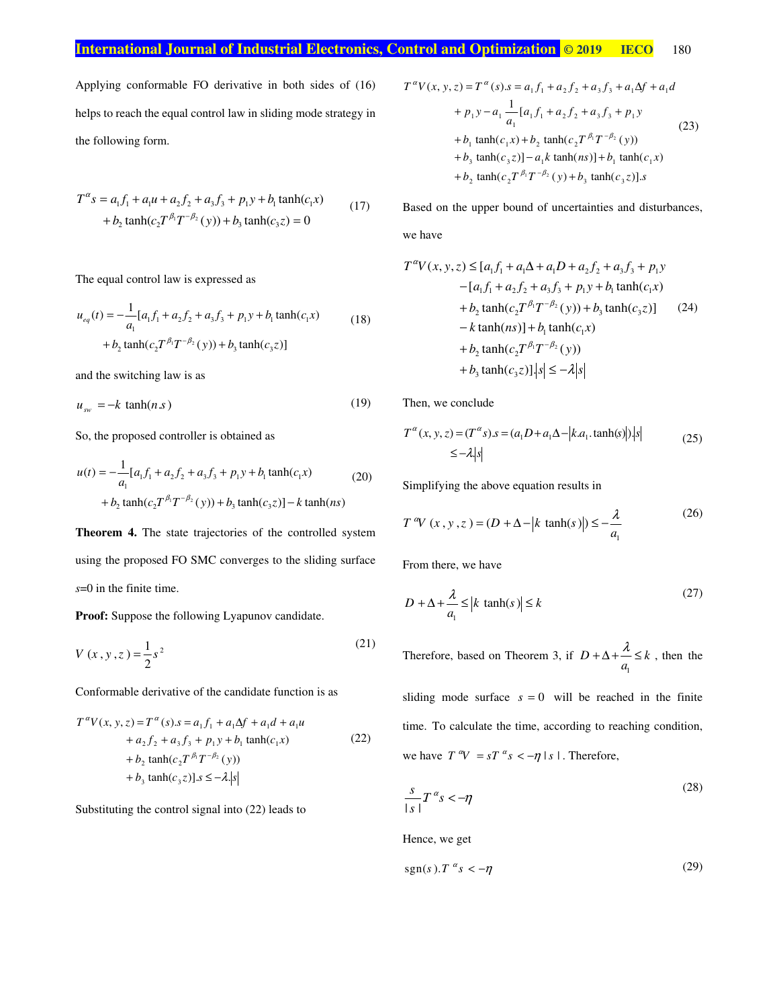## **International Journal of Industrial Electronics, Control and Optimization © 2019 IECO** 180

Applying conformable FO derivative in both sides of (16) helps to reach the equal control law in sliding mode strategy in the following form.

$$
T^{\alpha}s = a_1 f_1 + a_1 u + a_2 f_2 + a_3 f_3 + p_1 y + b_1 \tanh(c_1 x)
$$
  
+  $b_2 \tanh(c_2 T^{\beta_1} T^{-\beta_2}(y)) + b_3 \tanh(c_3 z) = 0$  (17)

The equal control law is expressed as

$$
u_{eq}(t) = -\frac{1}{a_1} [a_1 f_1 + a_2 f_2 + a_3 f_3 + p_1 y + b_1 \tanh(c_1 x) + b_2 \tanh(c_2 T^{\beta_1} T^{-\beta_2}(y)) + b_3 \tanh(c_3 z)]
$$
\n(18)

and the switching law is as

$$
u_{sw} = -k \tanh(n \, s) \tag{19}
$$

So, the proposed controller is obtained as

$$
u(t) = -\frac{1}{a_1} [a_1 f_1 + a_2 f_2 + a_3 f_3 + p_1 y + b_1 \tanh(c_1 x) + b_2 \tanh(c_2 T^{\beta_1} T^{-\beta_2}(y)) + b_3 \tanh(c_3 z)] - k \tanh(ns)
$$
 (20)

**Theorem 4.** The state trajectories of the controlled system using the proposed FO SMC converges to the sliding surface *s*=0 in the finite time.

**Proof:** Suppose the following Lyapunov candidate.

$$
V(x, y, z) = \frac{1}{2}s^2
$$
 (21)

Conformable derivative of the candidate function is as

$$
T^{\alpha}V(x, y, z) = T^{\alpha}(s).s = a_1 f_1 + a_1 \Delta f + a_1 d + a_1 u
$$
  
+ a\_2 f\_2 + a\_3 f\_3 + p\_1 y + b\_1 \tanh(c\_1 x)  
+ b\_2 \tanh(c\_2 T^{\beta\_1} T^{-\beta\_2}(y))  
+ b\_3 \tanh(c\_3 z)].s \le -\lambda |s|

Substituting the control signal into (22) leads to

$$
T^{a}V(x, y, z) = T^{a}(s).s = a_{1}f_{1} + a_{2}f_{2} + a_{3}f_{3} + a_{1}\Delta f + a_{1}d
$$
  
+  $p_{1}y - a_{1}\frac{1}{a_{1}}[a_{1}f_{1} + a_{2}f_{2} + a_{3}f_{3} + p_{1}y$   
+  $b_{1}$  tanh $(c_{1}x) + b_{2}$  tanh $(c_{2}T^{B_{1}}T^{-B_{2}}(y))$   
+  $b_{3}$  tanh $(c_{3}z)$ ] $- a_{1}k$  tanh $(ns)$ ] $+ b_{1}$  tanh $(c_{1}x)$   
+  $b_{2}$  tanh $(c_{2}T^{B_{1}}T^{-B_{2}}(y) + b_{3}$  tanh $(c_{3}z)$ ].s

Based on the upper bound of uncertainties and disturbances, we have

$$
T^{\alpha}V(x, y, z) \leq [a_1f_1 + a_1\Delta + a_1D + a_2f_2 + a_3f_3 + p_1y - [a_1f_1 + a_2f_2 + a_3f_3 + p_1y + b_1\tanh(c_1x) + b_2\tanh(c_2T^{\beta_1}T^{-\beta_2}(y)) + b_3\tanh(c_3z)] \tag{24}
$$
  
\n
$$
-k\tanh(ns)] + b_1\tanh(c_1x) + b_2\tanh(c_2T^{\beta_1}T^{-\beta_2}(y)) + b_3\tanh(c_3z)]\Big|s| \leq -\lambda|s|
$$

Then, we conclude

$$
T^{\alpha}(x, y, z) = (T^{\alpha}s).s = (a_1D + a_1\Delta - |k.a_1.\tanh(s)|) |s|
$$
  
 
$$
\leq -\lambda |s|
$$
 (25)

Simplifying the above equation results in

$$
T^{a}V(x, y, z) = (D + \Delta - |k \tanh(s)|) \le -\frac{\lambda}{a_1}
$$
 (26)

From there, we have

$$
D + \Delta + \frac{\lambda}{a_1} \le |k \tanh(s)| \le k \tag{27}
$$

Therefore, based on Theorem 3, if 1  $D + \Delta + \frac{n}{a_1} \leq k$  $+\Delta + \frac{\lambda}{\lambda} \leq k$ , then the

sliding mode surface  $s = 0$  will be reached in the finite time. To calculate the time, according to reaching condition, we have  $T^{\alpha}V = sT^{\alpha}s < -\eta | s |$ . Therefore,

$$
\frac{s}{|s|}T^{\alpha}s < -\eta
$$
 (28)

Hence, we get

$$
sgn(s).T^{\alpha}s < -\eta \tag{29}
$$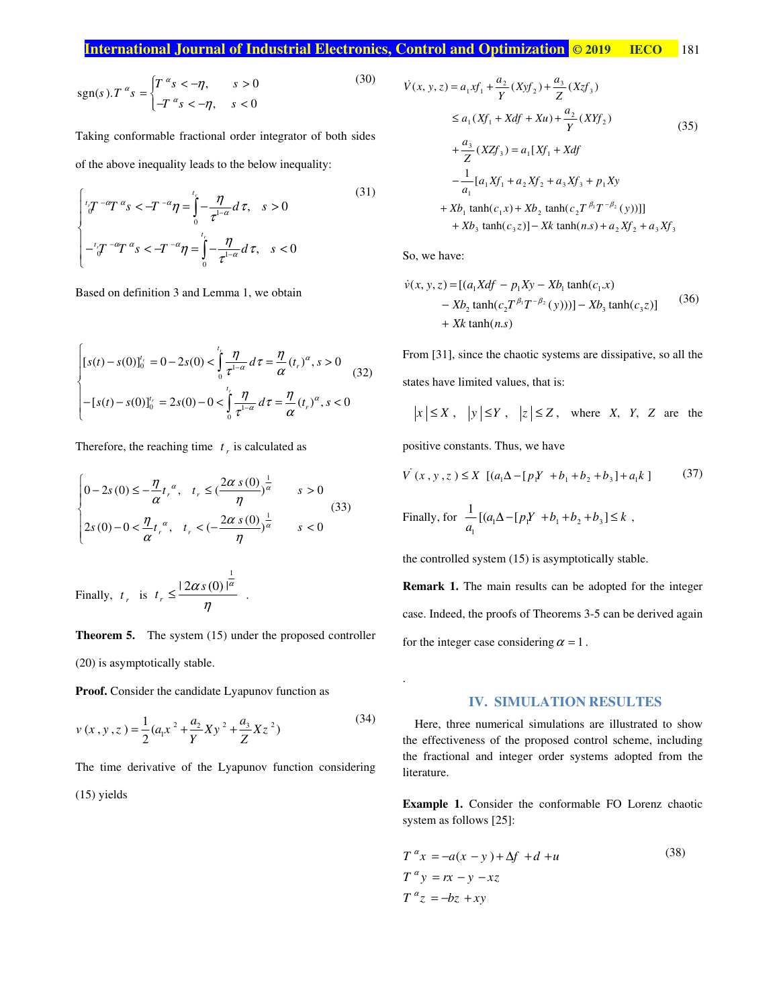## **International Journal of Industrial Electronics, Control and Optimization © 2019 IECO** 181

$$
\operatorname{sgn}(s) \cdot T^{\alpha} s = \begin{cases} T^{\alpha} s < -\eta, & s > 0 \\ -T^{\alpha} s < -\eta, & s < 0 \end{cases} \tag{30}
$$

Taking conformable fractional order integrator of both sides of the above inequality leads to the below inequality:

(31)  

$$
\int_{0}^{t} \int_{0}^{\pi} T^{-\alpha} T^{\alpha} s < -T^{-\alpha} \eta = \int_{0}^{t} -\frac{\eta}{\tau^{1-\alpha}} d\tau, \quad s > 0
$$

$$
-t \int_{0}^{-t} \int_{0}^{\pi} T^{\alpha} s < -T^{-\alpha} \eta = \int_{0}^{t} -\frac{\eta}{\tau^{1-\alpha}} d\tau, \quad s < 0
$$

Based on definition 3 and Lemma 1, we obtain

$$
\begin{cases}\n[s(t) - s(0)]_0^{t_r} = 0 - 2s(0) < \int_0^{t_r} \frac{\eta}{\tau^{1-\alpha}} \, d\tau = \frac{\eta}{\alpha} (t_r)^{\alpha}, \, s > 0 \\
-[s(t) - s(0)]_0^{t_r} = 2s(0) - 0 < \int_0^{t_r} \frac{\eta}{\tau^{1-\alpha}} \, d\tau = \frac{\eta}{\alpha} (t_r)^{\alpha}, \, s < 0\n\end{cases} \tag{32}
$$

Therefore, the reaching time  $t<sub>r</sub>$  is calculated as

$$
\begin{cases} 0 - 2s(0) \le -\frac{\eta}{\alpha} t_r^{\alpha}, \quad t_r \le \left(\frac{2\alpha s(0)}{\eta}\right)^{\frac{1}{\alpha}} & s > 0\\ 2s(0) - 0 < \frac{\eta}{\alpha} t_r^{\alpha}, \quad t_r < \left(-\frac{2\alpha s(0)}{\eta}\right)^{\frac{1}{\alpha}} & s < 0 \end{cases} \tag{33}
$$

Finally,  $t_r$  is 1  $|2 \alpha s(0)|$ *r*  $t_r \leq \frac{|2\alpha s(0)|^{\alpha}}{2\alpha}$  $\leq \frac{2\alpha s(0)}{\eta}$ .

**Theorem 5.** The system (15) under the proposed controller

(20) is asymptotically stable.

**Proof.** Consider the candidate Lyapunov function as

$$
v(x, y, z) = \frac{1}{2} (a_1 x^2 + \frac{a_2}{Y} X y^2 + \frac{a_3}{Z} X z^2)
$$
 (34)

The time derivative of the Lyapunov function considering (15) yields

$$
\dot{V}(x, y, z) = a_1 x f_1 + \frac{a_2}{Y} (X y f_2) + \frac{a_3}{Z} (X z f_3)
$$
\n
$$
\le a_1 (X f_1 + X df + Xu) + \frac{a_2}{Y} (X Y f_2)
$$
\n
$$
+ \frac{a_3}{Z} (X Z f_3) = a_1 [X f_1 + X df
$$
\n
$$
- \frac{1}{a_1} [a_1 X f_1 + a_2 X f_2 + a_3 X f_3 + p_1 X y
$$
\n
$$
+ X b_1 \tanh(c_1 x) + X b_2 \tanh(c_2 T^{\beta_1} T^{-\beta_2} (y))]]
$$
\n
$$
+ X b_3 \tanh(c_3 z)] - X k \tanh(n s) + a_2 X f_2 + a_3 X f_3
$$
\n(35)

So, we have:

.

$$
\dot{v}(x, y, z) = [(a_1 X df - p_1 X y - X b_1 \tanh(c_1.x) - X b_2 \tanh(c_2 T^{\beta_1} T^{-\beta_2}(y)))] - X b_3 \tanh(c_3 z)] \tag{36}
$$
  
+  $Xk \tanh(n.s)$ 

From [31], since the chaotic systems are dissipative, so all the states have limited values, that is:

$$
|x| \le X
$$
,  $|y| \le Y$ ,  $|z| \le Z$ , where X, Y, Z are the

positive constants. Thus, we have

$$
V(x, y, z) \le X \left[ (a_1 \Delta - [p_1 Y + b_1 + b_2 + b_3] + a_1 k \right] \tag{37}
$$

Finally, for 
$$
\frac{1}{a_1} [(a_1 \Delta - [p_1 Y + b_1 + b_2 + b_3] \le k]
$$
,

the controlled system (15) is asymptotically stable.

**Remark 1.** The main results can be adopted for the integer case. Indeed, the proofs of Theorems 3-5 can be derived again for the integer case considering  $\alpha = 1$ .

### **IV. SIMULATION RESULTES**

Here, three numerical simulations are illustrated to show the effectiveness of the proposed control scheme, including the fractional and integer order systems adopted from the literature.

**Example 1.** Consider the conformable FO Lorenz chaotic system as follows [25]:

$$
T^{\alpha}x = -a(x - y) + \Delta f + d + u
$$
  
\n
$$
T^{\alpha}y = rx - y - xz
$$
  
\n
$$
T^{\alpha}z = -bz + xy
$$
\n(38)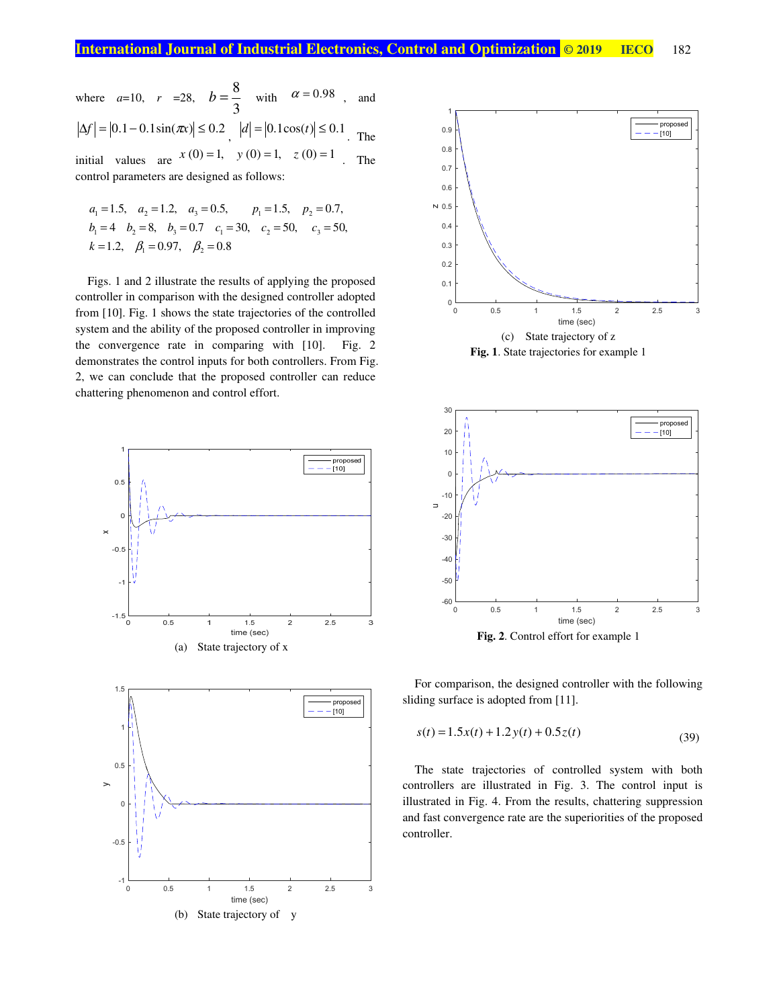where 
$$
a=10
$$
,  $r =28$ ,  $b = \frac{8}{3}$  with  $\alpha = 0.98$ , and

$$
|\Delta f| = |0.1 - 0.1 \sin(\pi x)| \le 0.2
$$
,  $|d| = |0.1 \cos(t)| \le 0.1$ . The

initial values are  $x(0) = 1$ ,  $y(0) = 1$ ,  $z(0) = 1$ . The control parameters are designed as follows:

$$
a_1 = 1.5
$$
,  $a_2 = 1.2$ ,  $a_3 = 0.5$ ,  $p_1 = 1.5$ ,  $p_2 = 0.7$ ,  
\n $b_1 = 4$   $b_2 = 8$ ,  $b_3 = 0.7$   $c_1 = 30$ ,  $c_2 = 50$ ,  $c_3 = 50$ ,  
\n $k = 1.2$ ,  $\beta_1 = 0.97$ ,  $\beta_2 = 0.8$ 

Figs. 1 and 2 illustrate the results of applying the proposed controller in comparison with the designed controller adopted from [10]. Fig. 1 shows the state trajectories of the controlled system and the ability of the proposed controller in improving the convergence rate in comparing with [10]. Fig. 2 demonstrates the control inputs for both controllers. From Fig. 2, we can conclude that the proposed controller can reduce chattering phenomenon and control effort.







For comparison, the designed controller with the following sliding surface is adopted from [11].

$$
s(t) = 1.5x(t) + 1.2y(t) + 0.5z(t)
$$
\n(39)

The state trajectories of controlled system with both controllers are illustrated in Fig. 3. The control input is illustrated in Fig. 4. From the results, chattering suppression and fast convergence rate are the superiorities of the proposed controller.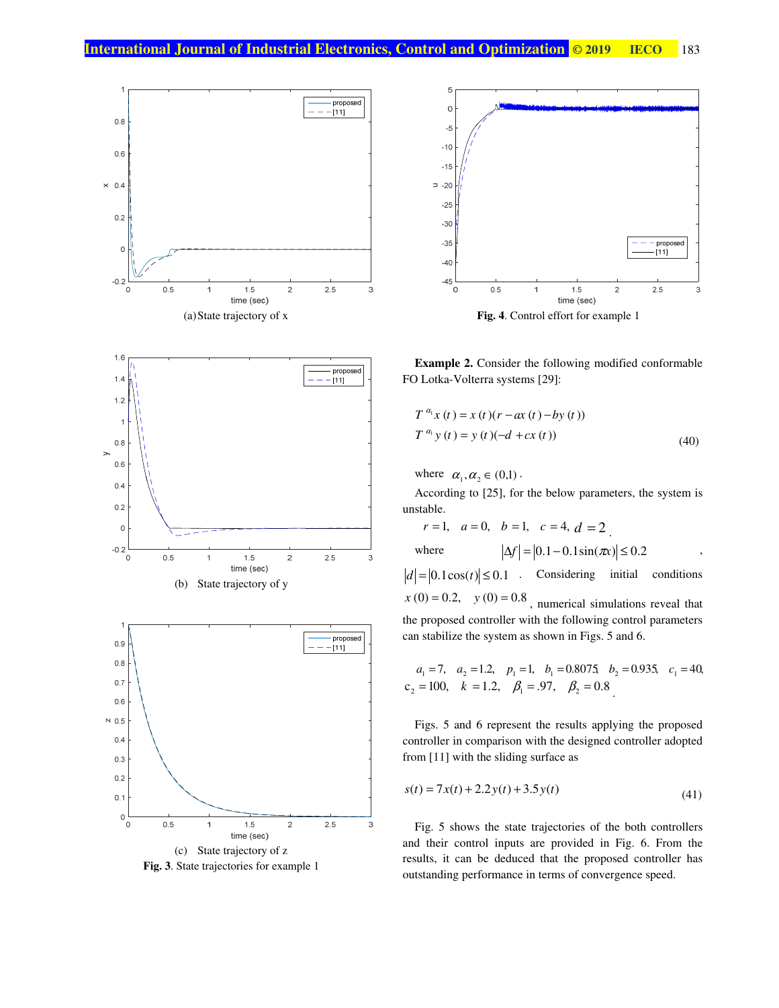





**Fig. 3**. State trajectories for example 1



**Example 2.** Consider the following modified conformable FO Lotka-Volterra systems [29]:

$$
T^{a_1} x(t) = x(t)(r - ax(t) - by(t))
$$
  
\n
$$
T^{a_1} y(t) = y(t)(-d + cx(t))
$$
\n(40)

where  $\alpha_1, \alpha_2 \in (0,1)$ .

According to [25], for the below parameters, the system is unstable.

 $r = 1$ ,  $a = 0$ ,  $b = 1$ ,  $c = 4$ ,  $d = 2$ where  $|\Delta f| = |0.1 - 0.1 \sin(\pi x)| \le 0.2$ 

 $|d| = |0.1 \cos(t)| \le 0.1$  Considering initial conditions  $x(0) = 0.2$ ,  $y(0) = 0.8$ , numerical simulations reveal that

the proposed controller with the following control parameters can stabilize the system as shown in Figs. 5 and 6.

$$
a_1 = 7
$$
,  $a_2 = 1.2$ ,  $p_1 = 1$ ,  $b_1 = 0.8075$ ,  $b_2 = 0.935$ ,  $c_1 = 40$ ,  
\n $c_2 = 100$ ,  $k = 1.2$ ,  $\beta_1 = .97$ ,  $\beta_2 = 0.8$ 

Figs. 5 and 6 represent the results applying the proposed controller in comparison with the designed controller adopted from [11] with the sliding surface as

$$
s(t) = 7x(t) + 2.2y(t) + 3.5y(t)
$$
\n(41)

Fig. 5 shows the state trajectories of the both controllers and their control inputs are provided in Fig. 6. From the results, it can be deduced that the proposed controller has outstanding performance in terms of convergence speed.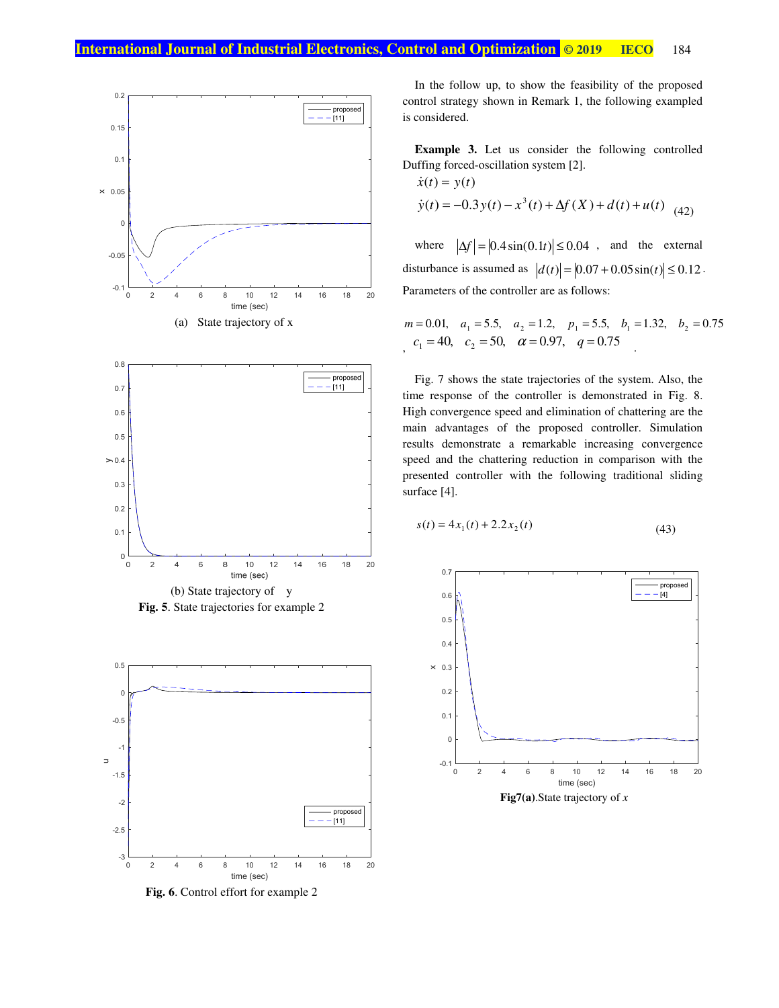



**Fig. 5**. State trajectories for example 2



**Fig. 6**. Control effort for example 2

In the follow up, to show the feasibility of the proposed control strategy shown in Remark 1, the following exampled is considered.

**Example 3.** Let us consider the following controlled Duffing forced-oscillation system [2].

$$
\dot{x}(t) = y(t)
$$
  
\n
$$
\dot{y}(t) = -0.3y(t) - x^{3}(t) + \Delta f(X) + d(t) + u(t)
$$
\n(42)

where  $|\Delta f| = |0.4 \sin(0.1t)| \le 0.04$ , and the external disturbance is assumed as  $|d(t)| = |0.07 + 0.05 \sin(t)| \le 0.12$ . Parameters of the controller are as follows:

$$
m = 0.01
$$
,  $a_1 = 5.5$ ,  $a_2 = 1.2$ ,  $p_1 = 5.5$ ,  $b_1 = 1.32$ ,  $b_2 = 0.75$   
 $c_1 = 40$ ,  $c_2 = 50$ ,  $\alpha = 0.97$ ,  $q = 0.75$ 

Fig. 7 shows the state trajectories of the system. Also, the time response of the controller is demonstrated in Fig. 8. High convergence speed and elimination of chattering are the main advantages of the proposed controller. Simulation results demonstrate a remarkable increasing convergence speed and the chattering reduction in comparison with the presented controller with the following traditional sliding surface [4].

$$
s(t) = 4x_1(t) + 2.2x_2(t)
$$
\n(43)

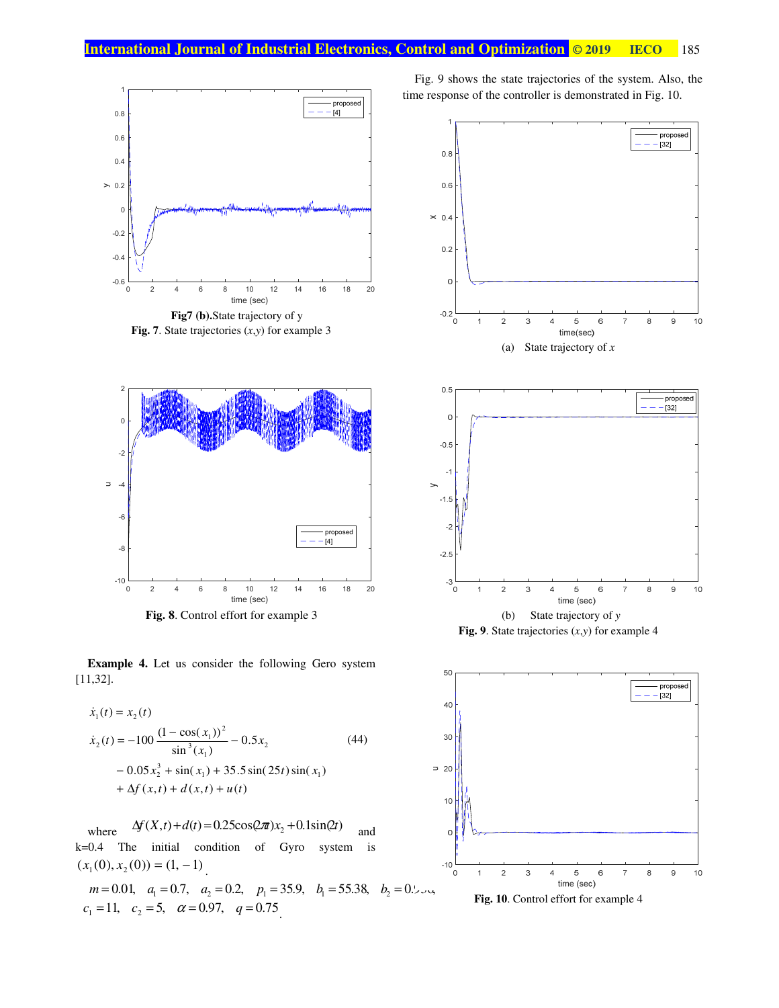

**Fig. 7**. State trajectories (*x*,*y*) for example 3



**Fig. 8**. Control effort for example 3

**Example 4.** Let us consider the following Gero system [11,32].

$$
\dot{x}_1(t) = x_2(t)
$$
\n
$$
\dot{x}_2(t) = -100 \frac{(1 - \cos(x_1))^2}{\sin^3(x_1)} - 0.5x_2
$$
\n
$$
- 0.05x_2^3 + \sin(x_1) + 35.5\sin(25t)\sin(x_1)
$$
\n
$$
+ \Delta f(x,t) + d(x,t) + u(t)
$$
\n(44)

where  $\Delta f(X,t) + d(t) = 0.25 \cos(2\pi x) x_2 + 0.1 \sin(2t)$  and k=0.4 The initial condition of Gyro system is  $(x_1(0), x_2(0)) = (1, -1)$ .

 $m = 0.01$ ,  $a_1 = 0.7$ ,  $a_2 = 0.2$ ,  $p_1 = 35.9$ ,  $b_1 = 55.38$ ,  $b_2 = 0.55$  $c_1 = 11, \quad c_2 = 5, \quad \alpha = 0.97, \quad q = 0.75$ .

Fig. 9 shows the state trajectories of the system. Also, the time response of the controller is demonstrated in Fig. 10.





**Fig. 10**. Control effort for example 4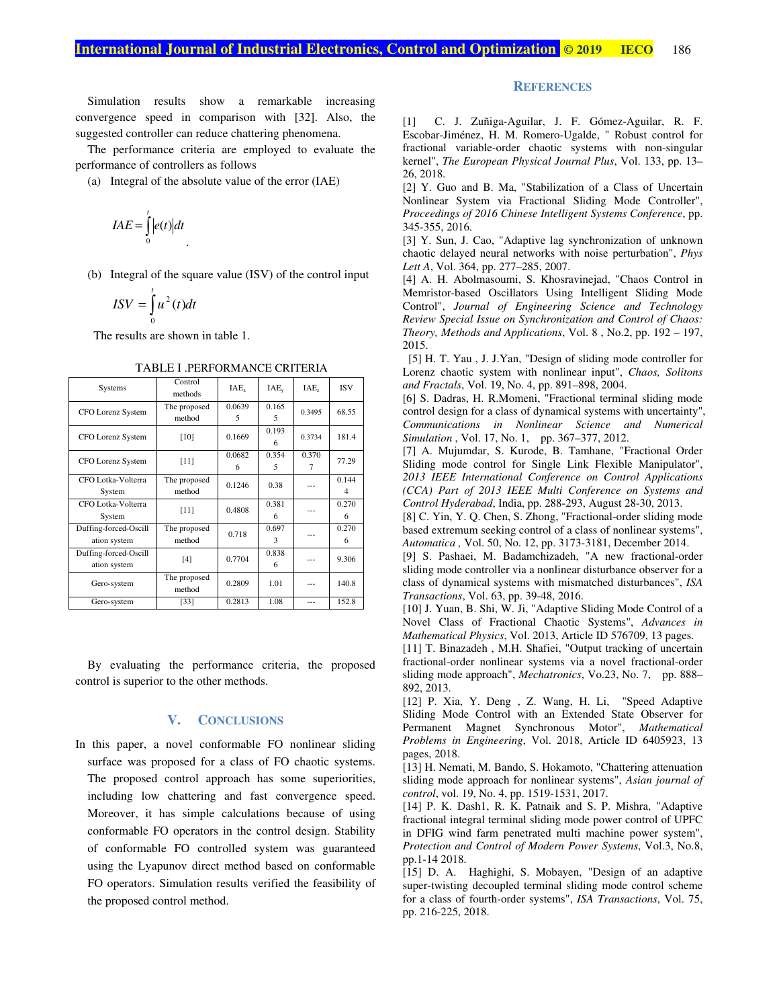Simulation results show a remarkable increasing convergence speed in comparison with [32]. Also, the suggested controller can reduce chattering phenomena.

The performance criteria are employed to evaluate the performance of controllers as follows

(a) Integral of the absolute value of the error (IAE)

$$
IAE = \int_{0}^{t} |e(t)| dt
$$

(b) Integral of the square value (ISV) of the control input

$$
ISV = \int_{0}^{t} u^{2}(t)dt
$$

The results are shown in table 1.

| Systems                               | Control<br>methods     | $IAE_{x}$   | $IAE_v$    | IAE,       | <b>ISV</b> |
|---------------------------------------|------------------------|-------------|------------|------------|------------|
| <b>CFO</b> Lorenz System              | The proposed<br>method | 0.0639<br>5 | 0.165<br>5 | 0.3495     | 68.55      |
| <b>CFO</b> Lorenz System              | $[10]$                 | 0.1669      | 0.193<br>6 | 0.3734     | 181.4      |
| <b>CFO</b> Lorenz System              | $[11]$                 | 0.0682<br>6 | 0.354<br>5 | 0.370<br>7 | 77.29      |
| CFO Lotka-Volterra<br>System          | The proposed<br>method | 0.1246      | 0.38       | ---        | 0.144<br>4 |
| CFO Lotka-Volterra<br>System          | [11]                   | 0.4808      | 0.381<br>6 |            | 0.270<br>6 |
| Duffing-forced-Oscill<br>ation system | The proposed<br>method | 0.718       | 0.697<br>3 |            | 0.270<br>6 |
| Duffing-forced-Oscill<br>ation system | [4]                    | 0.7704      | 0.838<br>6 |            | 9.306      |
| Gero-system                           | The proposed<br>method | 0.2809      | 1.01       | ---        | 140.8      |
| Gero-system                           | [33]                   | 0.2813      | 1.08       | $- - -$    | 152.8      |

TABLE I .PERFORMANCE CRITERIA

By evaluating the performance criteria, the proposed control is superior to the other methods.

## **V. CONCLUSIONS**

In this paper, a novel conformable FO nonlinear sliding surface was proposed for a class of FO chaotic systems. The proposed control approach has some superiorities, including low chattering and fast convergence speed. Moreover, it has simple calculations because of using conformable FO operators in the control design. Stability of conformable FO controlled system was guaranteed using the Lyapunov direct method based on conformable FO operators. Simulation results verified the feasibility of the proposed control method.

### **REFERENCES**

[1] C. J. Zuñiga-Aguilar, J. F. Gómez-Aguilar, R. F. Escobar-Jiménez, H. M. Romero-Ugalde, " Robust control for fractional variable-order chaotic systems with non-singular kernel", *The European Physical Journal Plus*, Vol. 133, pp. 13– 26, 2018.

[2] Y. Guo and B. Ma, "Stabilization of a Class of Uncertain Nonlinear System via Fractional Sliding Mode Controller", *Proceedings of 2016 Chinese Intelligent Systems Conference*, pp. 345-355, 2016.

[3] Y. Sun, J. Cao, "Adaptive lag synchronization of unknown chaotic delayed neural networks with noise perturbation", *Phys Lett A*, Vol. 364, pp. 277–285, 2007.

[4] A. H. Abolmasoumi, S. Khosravinejad, "Chaos Control in Memristor-based Oscillators Using Intelligent Sliding Mode Control", *Journal of Engineering Science and Technology Review Special Issue on Synchronization and Control of Chaos: Theory, Methods and Applications*, Vol. 8 , No.2, pp. 192 – 197, 2015.

 [5] H. T. Yau , J. J.Yan, "Design of sliding mode controller for Lorenz chaotic system with nonlinear input", *Chaos, Solitons and Fractals*, Vol. 19, No. 4, pp. 891–898, 2004.

[6] S. Dadras, H. R.Momeni, "Fractional terminal sliding mode control design for a class of dynamical systems with uncertainty", *Communications in Nonlinear Science and Numerical Simulation* , Vol. 17, No. 1, pp. 367–377, 2012.

[7] A. Mujumdar, S. Kurode, B. Tamhane, "Fractional Order Sliding mode control for Single Link Flexible Manipulator", *2013 IEEE International Conference on Control Applications (CCA) Part of 2013 IEEE Multi Conference on Systems and Control Hyderabad*, India, pp. 288-293, August 28-30, 2013.

[8] C. Yin, Y. Q. Chen, S. Zhong, "Fractional-order sliding mode based extremum seeking control of a class of nonlinear systems", *Automatica ,* Vol. 50, No. 12, pp. 3173-3181, December 2014.

[9] S. Pashaei, M. Badamchizadeh, "A new fractional-order sliding mode controller via a nonlinear disturbance observer for a class of dynamical systems with mismatched disturbances", *ISA Transactions*, Vol. 63, pp. 39-48, 2016.

[10] J. Yuan, B. Shi, W. Ji, "Adaptive Sliding Mode Control of a Novel Class of Fractional Chaotic Systems", *Advances in Mathematical Physics*, Vol. 2013, Article ID 576709, 13 pages.

[11] T. Binazadeh, M.H. Shafiei, "Output tracking of uncertain fractional-order nonlinear systems via a novel fractional-order sliding mode approach", *Mechatronics*, Vo.23, No. 7, pp. 888– 892, 2013.

[12] P. Xia, Y. Deng , Z. Wang, H. Li, "Speed Adaptive Sliding Mode Control with an Extended State Observer for Permanent Magnet Synchronous Motor", *Mathematical Problems in Engineering*, Vol. 2018, Article ID 6405923, 13 pages, 2018.

[13] H. Nemati, M. Bando, S. Hokamoto, "Chattering attenuation sliding mode approach for nonlinear systems", *Asian journal of control*, vol. 19, No. 4, pp. 1519-1531, 2017.

[14] P. K. Dash1, R. K. Patnaik and S. P. Mishra, "Adaptive fractional integral terminal sliding mode power control of UPFC in DFIG wind farm penetrated multi machine power system", *Protection and Control of Modern Power Systems*, Vol.3, No.8, pp.1-14 2018.

[15] D. A. Haghighi, S. Mobayen, "Design of an adaptive super-twisting decoupled terminal sliding mode control scheme for a class of fourth-order systems", *ISA Transactions*, Vol. 75, pp. 216-225, 2018.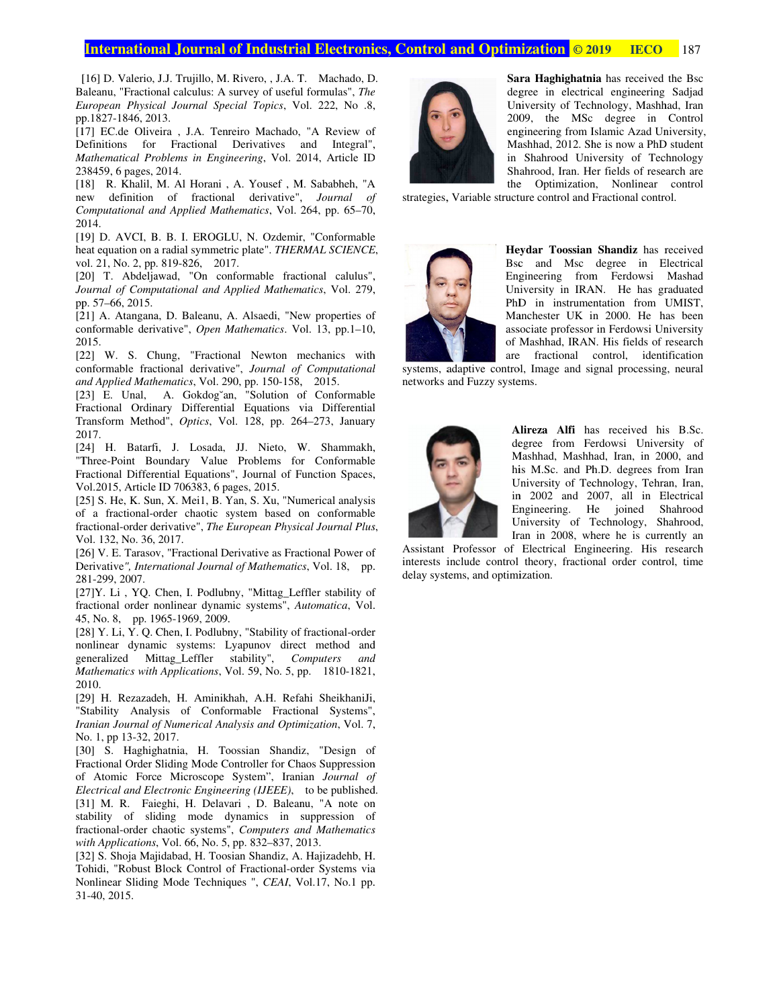## **International Journal of Industrial Electronics, Control and Optimization <mark>© 201</mark>**

[16] D. Valerio, J.J. Trujillo, M. Rivero, , J.A. T. Machado, D. [16] D. Valerio, J.J. Trujillo, M. Rivero, , J.A. T. Machado, D. Baleanu, "Fractional calculus: A survey of useful formulas", *The European Physical Journal Special Topics Journal Physical Special* , Vol. 222, No .8, pp.1827 pp.1827-1846, 2013. pp.1827-1846, 2013.<br>[17] EC.de Oliveira , J.A. Tenreiro Machado, "A Review of

Definitions for Fractional Derivatives and Integral", Mathematical Problems in Engineering, Vol. 2014, Article ID 238459, 6 pages, 2014.

[18] R. Khalil, M. Al Horani, A. Yousef, M. Sababheh, "A new definition of fractional derivative", new definition of *Journal of*  Computational and Applied Mathematics, Vol. 264, pp. 65-70, 2014. Definitions for Fractional Derivatives and Integral",<br> *Mathematical Problems in Engineering*, Vol. 2014, Article ID<br>
238459, 6 pages, 2014.<br>
[18] R. Khalil, M. Al Horani , A. Yousef , M. Sababheh, "A<br>
new definition of fr Iil, M. Al Horani, A. Youse<br>ion of fractional derival<br>*ul and Applied Mathematics*,<br>I, B. B. I. EROGLU, N. Oz<br>on a radial symmetric plate".<br>pp. 819-826, 2017.

heat equation on a radial symmetric plate". *THERMAL SCIENCE* heat equation on a radial symmetric<br>vol. 21, No. 2, pp. 819-826, 2017. [19] D. AVCI, B. B. I. EROGLU, N. Ozdemir, "Conformable heat equation on a radial symmetric plate". *THERMAL SCIENCE*, vol. 21, No. 2, pp. 819-826, 2017.<br>[20] T. Abdeljawad, "On conformable fractional calulus", I, B. B. I. EROGLU, N. Ozdemir, "Conformable

Journal of Computational and Applied Mathematics, Vol. 279, pp. 57 57–66, 2015.

[21] A. Atangana, D. Baleanu, A. Alsaedi, "New properties of conformable derivative", Open Mathematics. Vol. 13, pp.1-10, 2015.

[22] W. S. Chung, "Fractional Newton mechanics with [22] W. S. Chung, "Fractional Newton mechanics with conformable fractional derivative", *Journal of Computational* and Applied Mathematics, Vol. 290, pp. 150-158, 2015.

[23] E. Unal, A. Gokdog<sup>v</sup>an, "Solution of Conformable [23] E. Unal, A. Gokdog an, "Solution of Conformable<br>Fractional Ordinary Differential Equations via Differential Transform Method", 2017. Transform Method", *Optics*, Vol. 128, pp. 264–273, January<br>2017.<br>[24] H. Batarfi, J. Losada, JJ. Nieto, W. Shammakh, Fractional Ordinary Differential Equations via Differential<br>Transform Method", *Optics*, Vol. 128, pp. 264–273, January<br>2017. [24] H. Batarfi, J. Losada, JJ. Nieto, W. Shammakh, *Optics*, Vol. 128, pp. 264 ics, Vol. 290, pp. 150-158, 2015.<br>Gokdog<sup>×</sup>an, "Solution of Conformable<br>Differential Equations via Differential<br>*Optics*, Vol. 128, pp. 264–273, January ational and Applied Mathematics, Vol. 279,<br>
D. Baleanu, A. Alsaedi, "New properties of<br>
tive", *Open Mathematics*. Vol. 13, pp.1–10,<br>
ng, "Fractional Newton mechanics with<br>
onal derivative", *Journal of Computational*<br>
nat

"Three "Three-Point Boundary Value Problems for Conformable Fractional Differential Equations", Journal of Function Spaces, Differential Spaces, Vol.2015, Article ID 706383, 6 pages, 2015. I. Batarfi, J. Losada, JJ. Nieto, W. Shammakh, Point Boundary Value Problems for Conformable<br>nal Differential Equations", Journal of Function Spaces, 15, Article ID 706383, 6 pages, 2015.<br>He, K. Sun, X. Mei1, B. Yan, S. Xu Conformable JJ. Nieto, W. Shammakh,<br>S., Problems for Conformable<br>S., Journal of Function Spaces,<br>Dages, 2015.<br>Yan, S. Xu, "Numerical analysis

[25] S. He, K. Sun, X. Mei1, B. Yan, S. Xu, "Numeric of a fractional fractional-order chaotic system based on conformable fractional fractional-order derivative", Vol. 132, No. 36, 2017. 132, No. 2017.of a fractional-order chaotic system based on conformable<br>fractional-order derivative", *The European Physical Journal Plus*,<br>Vol. 132, No. 36, 2017.<br>[26] V. E. Tarasov, "Fractional Derivative as Fractional Power of Vol.2015, Article ID 706383, 6 pages, 2015.<br>[25] S. He, K. Sun, X. Mei1, B. Yan, S. Xu, "Numerical analysis of a fractional-order chaotic system based on conformable

Derivative", International Journal of Mathematics, Vol. 18, pp. 281 281-299, 2007.

[27]Y. Li, YQ. Chen, I. Podlubny, "Mittag\_Leffler stability of fractional order nonlinear dynamic systems", 45, No. 8, pp. 1965-1969, 2009. Li , YQ. Chen, I. Podlubny, "Mittag\_Leffler stability of all order nonlinear dynamic systems", *Automatica*, Vol. 8, pp. 1965-1969, 2009.<br>Li, Y. Q. Chen, I. Podlubny, "Stability of fractional-order ar dynamic systems: Lyap Chen, I. Podlubny, "Mittag\_Leffler nonlinear dynamic systems", Autom<br>1965-1969, 2009. systems", *Automatica* , Vol.

[28] Y. Li, Y. Q. Chen, I. Podlubny, "Stabilit nonlinear dynamic systems: Lyapunov direct method and nonlinear dynamic and generalized Mittag\_Leffler stability", *Computers and*  [28] Y. Li, Y. Q. Chen, I. Podlubny, "Stability of fractional-order nonlinear dynamic systems: Lyapunov direct method and generalized Mittag\_Leffler stability", *Computers and Mathematics with Applications*, Vol. 59, No. 5 2010. 45, No. 8, pp. 1965-1969, 2009.<br>[28] Y. Li, Y. Q. Chen, I. Podlubny, "Stability of fractional-order Mathematics with Applications, Vol. 59, No. 5, pp. 1810-1821, 2010.<br>2010.<br>[29] H. Rezazadeh, H. Aminikhah, A.H. Refahi SheikhaniJi,

[29] H. Rezazadeh, H. Aminikhah, A.H. Refahi SheikhaniJi, Aminikhah, Fractional Systems", "Stability Analysis of Conformable Fractional Systems", *Iranian Journal of Numerical Analysis and Optimization, Vol. 7,* No. 1, pp 13-32, 2017. [29] H. Rezazadeh, H. Aminikhah, A.H. Refahi SheikhaniJi, "Stability Analysis of Conformable Fractional Systems", *Iranian Journal of Numerical Analysis and Optimization*, Vol. 7, No. 1, pp 13-32, 2017.<br>[30] S. Haghighatni

Fractional Order Sliding Mode Controller for Chaos of Atomic Force Microscope System *Electrical and Electronic Engineering (IJEEE) Engineering (IJEEE)*, to be published. [31] M. R. Faieghi, H. Delavari, D. Baleanu, "A note on stability of sliding mode dynamics in suppression of fractional-order chaotic systems", Computers and Mathematics with Applications, Vol. 66, No. 5, pp. 832-837, 2013. Fractional Order Sliding Mode Controller for Chaos Suppression<br>of Atomic Force Microscope System", Iranian Journal of<br>Electrical and Electronic Engineering (IJEEE), to be published.<br>[31] M. R. Faieghi, H. Delavari , D. Bal M. R. Faieghi, H. Delavari, D. Bala<br>ity of sliding mode dynamics in<br>onal-order chaotic systems", *Computers*<br>Applications, Vol. 66, No. 5, pp. 832–837, | S. Haghighatnia, H. Toossian Shandiz,<br>| stional Order Sliding Mode Controller for Chaos<br>| Atomic Force Microscope System", Iranian of sliding mode dynamics in suppression of Mode Controller for Chaos Suppression [16] D. Valerio, J.J. Trujinlo, M. Rivero, J.A. T. Machado, D. H. Order J.<br>Balema, "Fractional calculus: A survey of useful formulas", The mediatory<br>early and Special Journal Special Topics, Vol. 222, No 8, Baryo (Film Ec derivation of fractional derivative", Journal of Nicolas Structure Control (of the Control of the Control of the Control of the Control of the Control of the Control of the Control of the Control of the Control of the Con

[32] S. Shoja Majidabad, H. Toosian Shandiz, A. Hajizadehb, H. Tohidi, "Robust Block Control of Fractional Nonlinear Sliding Mode Tech niques *CEAI*, Vol.17, No.1 pp. 31-40, 2015. [32] S. Shoja Majidabad, H. Toosian Sh<br>Tohidi, "Robust Block Control of Fract<br>Nonlinear Sliding Mode Techniques ",<br>31-40, 2015. "Robust Block Control of Fractional-order Systems via



**Sara Haghighatnia** has received the Bsc degree in electrical engineering Sadjad University of Technology, Mashhad, Iran 2009, the MSc degree in Control engineering from Islamic Azad University, Mashhad, 2012. She is now a PhD student in Shahrood University of Technology Shahrood, Iran. Her fields of research are the Optimization, Nonlinear control degree in electrical engineering Sadjad<br>University of Technology, Mashhad, Iran<br>2009, the MSc degree in Control<br>engineering from Islamic Azad University,<br>Mashhad, 2012. She is now a PhD student<br>in Shahrood University of Te ectrical engineering Sadjad<br>Technology, Mashhad, Iran<br>MSc degree in Control<br>om Islamic Azad University,<br>2. She is now a PhD student<br>University of Technology<br>n. Her fields of research are<br>ation, Nonlinear control University of Technology, Mashhad, Iran<br>2009, the MSc degree in Control<br>engineering from Islamic Azad University,<br>Mashhad, 2012. She is now a PhD student<br>in Shahrood University of Technology<br>Shahrood, Iran. Her fields of r

strategies, Variable structure control and Fractional



Heydar Toossian Shandiz has received Bsc and Msc degree in E Engineering from Ferdowsi Mashad University in IRAN. He has graduated PhD in instrumentation from UMIST, Manchester UK in in associate professor in Ferdowsi University associate professor in Ferdowsi University<br>of Mashhad, IRAN. His fields of research are fractional control, identification Bsc and Msc degree in Electrical<br>Engineering from Ferdowsi Mashad<br>University in IRAN. He has graduated<br>PhD in instrumentation from UMIST, ngineering from Ferdowsi Mashad<br>
inversity in IRAN. He has graduated<br>
hD in instrumentation from UMIST,<br>
Ianchester UK in 2000. He has been

systems, adaptive control, Image and signal processing, neural networks and Fuzzy systems. networks and Fuzzy systems.



**Alireza Alfi Alireza Alfi** has received his B.Sc. degree from Ferdowsi University of Mashhad, Mashhad, Iran, in 2000, and his M.Sc. and Ph.D. degrees from Iran University of Technology, Tehran, Iran, in 2002 and 2007, all in Electrical Engineering. He joined Shahrood degree from Ferdowsi University of Mashhad, Mashhad, Iran, in 2000, and<br>his M.Sc. and Ph.D. degrees from Iran<br>University of Technology, Tehran, Iran,<br>in 2002 and 2007, all in Electrical<br>Engineering. He joined Shahrood,<br>Uni Iran in 2008, where he is currently an **Example 12008 Example 12019 ECO Examplement** is degree in electrical engineering from Islamic Azad University of Technology, Mashhad, 2012. She is now a PhD studing Mashhad, 2012. She is now a PhD studing the Optimi From 1877<br>
Sara Haghighatnia has received the Bsc<br>
degree in electrical engineering Sadjad<br>
University of Technology, Mashhad, 2012. She is now a PhD student<br>
in Shahrood University of Technology<br>
in Shahrood University of of Mashhad, IRAN. His fields<br>are fractional control, id<br>trol, Image and signal process<br>ystems.<br>**Alireza Alfi** has received<br>degree from Ferdowsi Un<br>Mashhad, Mashhad, Iran, in<br>his M.Sc. and Ph.D. degrees<br>University of Techno

Assistant Professor of Electrical Engineering. His research interests include control theory, fractional order control, time delay systems, and optimization. Assistant Professor of Electrical Engineering. His research interests include control theory, fractional order control, time delay systems, and optimization.